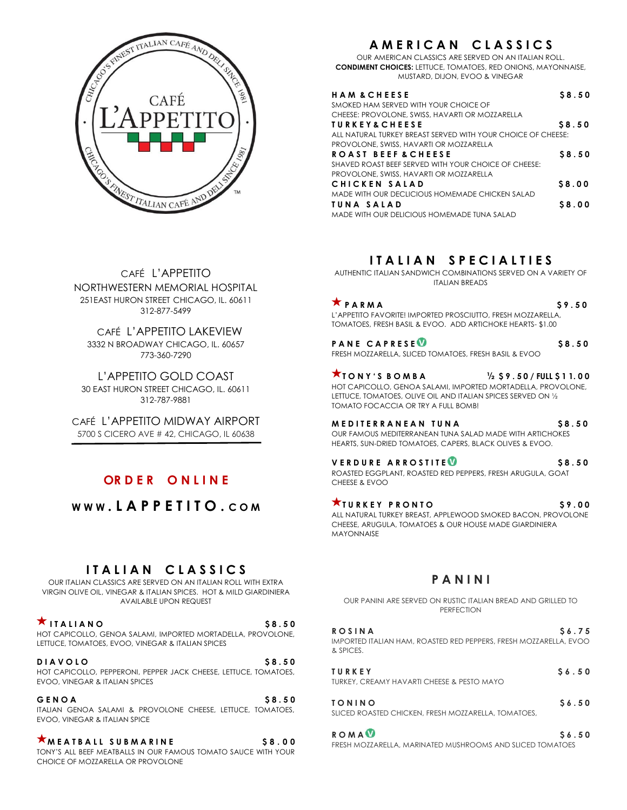

# **A M E R I C A N C L A S S I C S**

OUR AMERICAN CLASSICS ARE SERVED ON AN ITALIAN ROLL. **CONDIMENT CHOICES:** LETTUCE, TOMATOES, RED ONIONS, MAYONNAISE, MUSTARD, DIJON, EVOO & VINEGAR

| <b>HAM &amp; CHEESE</b>                                      | \$8.50 |
|--------------------------------------------------------------|--------|
| SMOKED HAM SERVED WITH YOUR CHOICE OF                        |        |
| CHEESE: PROVOLONE, SWISS, HAVARTI OR MOZZARELLA              |        |
| <b>TURKEY&amp;CHEESE</b>                                     | \$8.50 |
| ALL NATURAL TURKEY BREAST SERVED WITH YOUR CHOICE OF CHEESE: |        |
| PROVOLONE, SWISS, HAVARTI OR MOZZARELLA                      |        |
| ROAST BEEF & CHEESE                                          | \$8.50 |
| SHAVED ROAST BEEF SERVED WITH YOUR CHOICE OF CHEESE:         |        |
| PROVOLONE, SWISS, HAVARTI OR MOZZARELLA                      |        |
| CHICKEN SALAD                                                | \$8.00 |
| MADE WITH OUR DECLICIOUS HOMEMADE CHICKEN SALAD              |        |
| TUNA SALAD                                                   | \$8.00 |
| MADE WITH OUR DELICIOUS HOMEMADE TUNA SALAD                  |        |

CAFÉ L'APPETITO NORTHWESTERN MEMORIAL HOSPITAL 251EAST HURON STREET CHICAGO, IL. 60611 312-877-5499

 CAFÉ L'APPETITO LAKEVIEW 3332 N BROADWAY CHICAGO, IL. 60657 773-360-7290

L'APPETITO GOLD COAST 30 EAST HURON STREET CHICAGO, IL. 60611 312-787-9881

CAFÉ L'APPETITO MIDWAY AIRPORT 5700 S CICERO AVE # 42, CHICAGO, IL 60638

# **OR D E R O N L I N E**

**W W W . L A P P E T I T O . C O M**

# **I T A L I A N C L A S S I C S**

OUR ITALIAN CLASSICS ARE SERVED ON AN ITALIAN ROLL WITH EXTRA VIRGIN OLIVE OIL, VINEGAR & ITALIAN SPICES. HOT & MILD GIARDINIERA AVAILABLE UPON REQUEST

 $\star$ ITALIANO \$8.50 HOT CAPICOLLO, GENOA SALAMI, IMPORTED MORTADELLA, PROVOLONE, LETTUCE, TOMATOES, EVOO, VINEGAR & ITALIAN SPICES

**DIAVOLO** \$8.50 HOT CAPICOLLO, PEPPERONI, PEPPER JACK CHEESE, LETTUCE, TOMATOES, EVOO, VINEGAR & ITALIAN SPICES

#### **GENOA** \$8.50

ITALIAN GENOA SALAMI & PROVOLONE CHEESE, LETTUCE, TOMATOES, EVOO, VINEGAR & ITALIAN SPICE

**M E A T B A L L S U B M A R I N E \$ 8 . 0 0**  TONY'S ALL BEEF MEATBALLS IN OUR FAMOUS TOMATO SAUCE WITH YOUR CHOICE OF MOZZARELLA OR PROVOLONE

# **I T A L I A N S P E C I A L T I E S**

AUTHENTIC ITALIAN SANDWICH COMBINATIONS SERVED ON A VARIETY OF ITALIAN BREADS

 $\uparrow$  **PARMA**  $\downarrow$  **59.50** L'APPETITO FAVORITE! IMPORTED PROSCIUTTO, FRESH MOZZARELLA, TOMATOES, FRESH BASIL & EVOO. ADD ARTICHOKE HEARTS- \$1.00

**PANE CAPRESE** FRESH MOZZARELLA, SLICED TOMATOES, FRESH BASIL & EVOO

 $\star$  **TONY'S BOMBA**  $\frac{1}{2}$  \$9.50/FULL \$11.00 HOT CAPICOLLO, GENOA SALAMI, IMPORTED MORTADELLA, PROVOLONE, LETTUCE, TOMATOES, OLIVE OIL AND ITALIAN SPICES SERVED ON ½ TOMATO FOCACCIA OR TRY A FULL BOMB!

**M E D I T E R R A N E A N T U N A \$ 8 . 5 0**  OUR FAMOUS MEDITERRANEAN TUNA SALAD MADE WITH ARTICHOKES HEARTS, SUN-DRIED TOMATOES, CAPERS, BLACK OLIVES & EVOO.

**VERDURE ARROSTITE** 

ROASTED EGGPLANT, ROASTED RED PEPPERS, FRESH ARUGULA, GOAT CHEESE & EVOO

**T U R K E Y P R O N T O \$ 9 . 0 0**  ALL NATURAL TURKEY BREAST, APPLEWOOD SMOKED BACON, PROVOLONE CHEESE, ARUGULA, TOMATOES & OUR HOUSE MADE GIARDINIERA MAYONNAISE

# **P A N I N I**

OUR PANINI ARE SERVED ON RUSTIC ITALIAN BREAD AND GRILLED TO PERFECTION

| S6.75<br><b>ROSINA</b>                                                         |  |
|--------------------------------------------------------------------------------|--|
| IMPORTED ITALIAN HAM, ROASTED RED PEPPERS, FRESH MOZZARELLA, EVOO<br>& SPICES. |  |
|                                                                                |  |

**T U R K E Y \$ 6 . 5 0** TURKEY, CREAMY HAVARTI CHEESE & PESTO MAYO

| TONINO                                              | \$6.50 |
|-----------------------------------------------------|--------|
| SLICED ROASTED CHICKEN, FRESH MOZZARELLA, TOMATOES, |        |

**ROMA<sup>0</sup> S6.50** FRESH MOZZARELLA, MARINATED MUSHROOMS AND SLICED TOMATOES